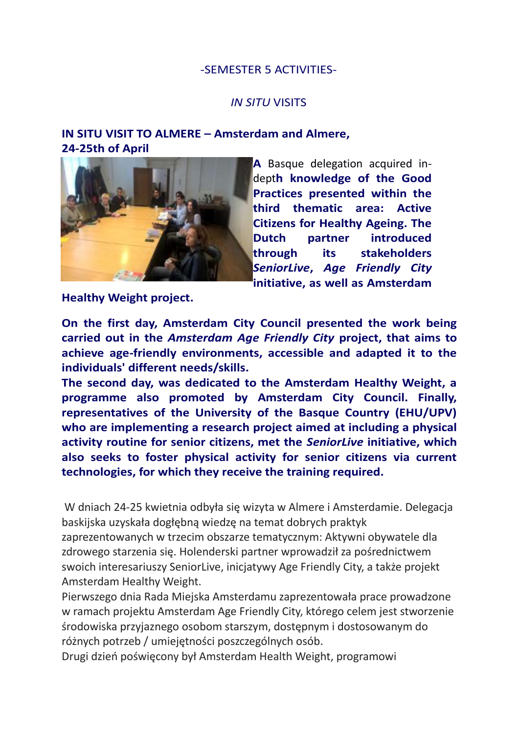## -SEMESTER 5 ACTIVITIES-

## *IN SITU* VISITS

## **IN SITU VISIT TO ALMERE – Amsterdam and Almere, 24-25th of April**



**A** Basque delegation acquired indept**h knowledge of the Good Practices presented within the third thematic area: Active Citizens for Healthy Ageing. The Dutch partner introduced through its stakeholders**  *SeniorLive***,** *Age Friendly City* **initiative, as well as Amsterdam** 

**Healthy Weight project.**

**On the first day, Amsterdam City Council presented the work being carried out in the** *Amsterdam Age Friendly City* **project, that aims to achieve age-friendly environments, accessible and adapted it to the individuals' different needs/skills.**

**The second day, was dedicated to the Amsterdam Healthy Weight, a programme also promoted by Amsterdam City Council. Finally, representatives of the University of the Basque Country (EHU/UPV) who are implementing a research project aimed at including a physical activity routine for senior citizens, met the** *SeniorLive* **initiative, which also seeks to foster physical activity for senior citizens via current technologies, for which they receive the training required.**

W dniach 24-25 kwietnia odbyła się wizyta w Almere i Amsterdamie. Delegacja baskijska uzyskała dogłębną wiedzę na temat dobrych praktyk zaprezentowanych w trzecim obszarze tematycznym: Aktywni obywatele dla zdrowego starzenia się. Holenderski partner wprowadził za pośrednictwem swoich interesariuszy SeniorLive, inicjatywy Age Friendly City, a także projekt Amsterdam Healthy Weight.

Pierwszego dnia Rada Miejska Amsterdamu zaprezentowała prace prowadzone w ramach projektu Amsterdam Age Friendly City, którego celem jest stworzenie środowiska przyjaznego osobom starszym, dostępnym i dostosowanym do różnych potrzeb / umiejętności poszczególnych osób.

Drugi dzień poświęcony był Amsterdam Health Weight, programowi